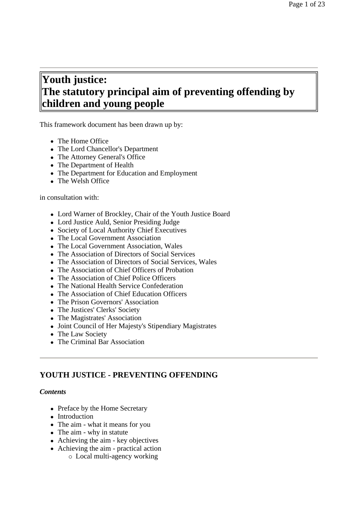# **Youth justice: The statutory principal aim of preventing offending by children and young people**

This framework document has been drawn up by:

- The Home Office
- The Lord Chancellor's Department
- The Attorney General's Office
- The Department of Health
- The Department for Education and Employment
- The Welsh Office

in consultation with:

- Lord Warner of Brockley, Chair of the Youth Justice Board
- Lord Justice Auld, Senior Presiding Judge
- Society of Local Authority Chief Executives
- The Local Government Association
- The Local Government Association, Wales
- The Association of Directors of Social Services
- The Association of Directors of Social Services, Wales
- The Association of Chief Officers of Probation
- The Association of Chief Police Officers
- The National Health Service Confederation
- The Association of Chief Education Officers
- The Prison Governors' Association
- The Justices' Clerks' Society
- The Magistrates' Association
- Joint Council of Her Majesty's Stipendiary Magistrates
- The Law Society
- The Criminal Bar Association

# **YOUTH JUSTICE - PREVENTING OFFENDING**

#### *Contents*

- Preface by the Home Secretary
- Introduction
- The aim what it means for you
- The aim why in statute
- $\bullet$  Achieving the aim key objectives
- Achieving the aim practical action
	- { Local multi-agency working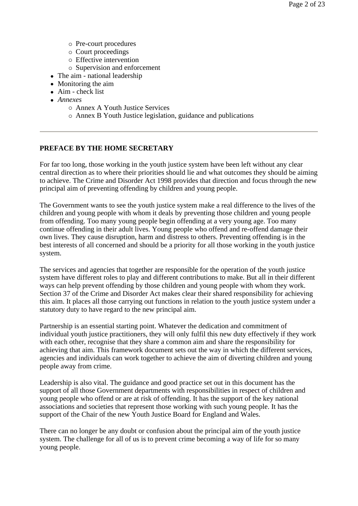- $\circ$  Pre-court procedures
- $\circ$  Court proceedings
- { Effective intervention
- $\circ$  Supervision and enforcement
- $\bullet$  The aim national leadership
- $\bullet$  Monitoring the aim
- $\bullet$  Aim check list
- <sup>z</sup> *Annexes* 
	- $\circ$  Annex A Youth Justice Services
	- $\circ$  Annex B Youth Justice legislation, guidance and publications

# **PREFACE BY THE HOME SECRETARY**

For far too long, those working in the youth justice system have been left without any clear central direction as to where their priorities should lie and what outcomes they should be aiming to achieve. The Crime and Disorder Act 1998 provides that direction and focus through the new principal aim of preventing offending by children and young people.

The Government wants to see the youth justice system make a real difference to the lives of the children and young people with whom it deals by preventing those children and young people from offending. Too many young people begin offending at a very young age. Too many continue offending in their adult lives. Young people who offend and re-offend damage their own lives. They cause disruption, harm and distress to others. Preventing offending is in the best interests of all concerned and should be a priority for all those working in the youth justice system.

The services and agencies that together are responsible for the operation of the youth justice system have different roles to play and different contributions to make. But all in their different ways can help prevent offending by those children and young people with whom they work. Section 37 of the Crime and Disorder Act makes clear their shared responsibility for achieving this aim. It places all those carrying out functions in relation to the youth justice system under a statutory duty to have regard to the new principal aim.

Partnership is an essential starting point. Whatever the dedication and commitment of individual youth justice practitioners, they will only fulfil this new duty effectively if they work with each other, recognise that they share a common aim and share the responsibility for achieving that aim. This framework document sets out the way in which the different services, agencies and individuals can work together to achieve the aim of diverting children and young people away from crime.

Leadership is also vital. The guidance and good practice set out in this document has the support of all those Government departments with responsibilities in respect of children and young people who offend or are at risk of offending. It has the support of the key national associations and societies that represent those working with such young people. It has the support of the Chair of the new Youth Justice Board for England and Wales.

There can no longer be any doubt or confusion about the principal aim of the youth justice system. The challenge for all of us is to prevent crime becoming a way of life for so many young people.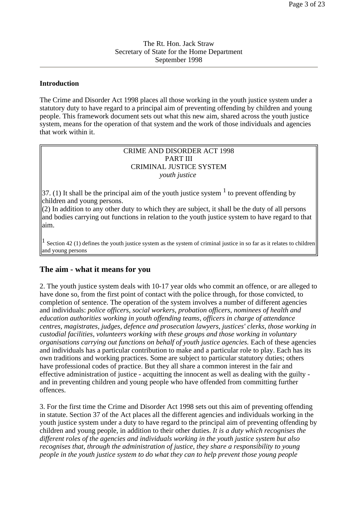### The Rt. Hon. Jack Straw Secretary of State for the Home Department September 1998

### **Introduction**

The Crime and Disorder Act 1998 places all those working in the youth justice system under a statutory duty to have regard to a principal aim of preventing offending by children and young people. This framework document sets out what this new aim, shared across the youth justice system, means for the operation of that system and the work of those individuals and agencies that work within it.

### CRIME AND DISORDER ACT 1998 PART III CRIMINAL JUSTICE SYSTEM *youth justice*

37. (1) It shall be the principal aim of the youth justice system  $\frac{1}{1}$  to prevent offending by children and young persons.

 $(2)$  In addition to any other duty to which they are subject, it shall be the duty of all persons and bodies carrying out functions in relation to the youth justice system to have regard to that aim.

 $\vert$ 1 Section 42 (1) defines the youth justice system as the system of criminal justice in so far as it relates to children and young persons

# **The aim - what it means for you**

2. The youth justice system deals with 10-17 year olds who commit an offence, or are alleged to have done so, from the first point of contact with the police through, for those convicted, to completion of sentence. The operation of the system involves a number of different agencies and individuals: *police officers, social workers, probation officers, nominees of health and education authorities working in youth offending teams, officers in charge of attendance centres, magistrates, judges, defence and prosecution lawyers, justices' clerks, those working in custodial facilities, volunteers working with these groups and those working in voluntary organisations carrying out functions on behalf of youth justice agencies.* Each of these agencies and individuals has a particular contribution to make and a particular role to play. Each has its own traditions and working practices. Some are subject to particular statutory duties; others have professional codes of practice. But they all share a common interest in the fair and effective administration of justice - acquitting the innocent as well as dealing with the guilty and in preventing children and young people who have offended from committing further offences.

3. For the first time the Crime and Disorder Act 1998 sets out this aim of preventing offending in statute. Section 37 of the Act places all the different agencies and individuals working in the youth justice system under a duty to have regard to the principal aim of preventing offending by children and young people, in addition to their other duties. *It is a duty which recognises the different roles of the agencies and individuals working in the youth justice system but also recognises that, through the administration of justice, they share a responsibility to young people in the youth justice system to do what they can to help prevent those young people*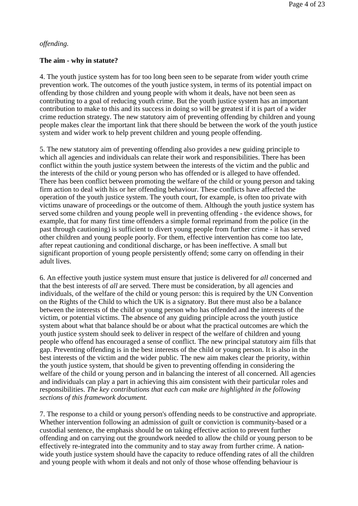### *offending.*

#### **The aim - why in statute?**

4. The youth justice system has for too long been seen to be separate from wider youth crime prevention work. The outcomes of the youth justice system, in terms of its potential impact on offending by those children and young people with whom it deals, have not been seen as contributing to a goal of reducing youth crime. But the youth justice system has an important contribution to make to this and its success in doing so will be greatest if it is part of a wider crime reduction strategy. The new statutory aim of preventing offending by children and young people makes clear the important link that there should be between the work of the youth justice system and wider work to help prevent children and young people offending.

5. The new statutory aim of preventing offending also provides a new guiding principle to which all agencies and individuals can relate their work and responsibilities. There has been conflict within the youth justice system between the interests of the victim and the public and the interests of the child or young person who has offended or is alleged to have offended. There has been conflict between promoting the welfare of the child or young person and taking firm action to deal with his or her offending behaviour. These conflicts have affected the operation of the youth justice system. The youth court, for example, is often too private with victims unaware of proceedings or the outcome of them. Although the youth justice system has served some children and young people well in preventing offending - the evidence shows, for example, that for many first time offenders a simple formal reprimand from the police (in the past through cautioning) is sufficient to divert young people from further crime - it has served other children and young people poorly. For them, effective intervention has come too late, after repeat cautioning and conditional discharge, or has been ineffective. A small but significant proportion of young people persistently offend; some carry on offending in their adult lives.

6. An effective youth justice system must ensure that justice is delivered for *all* concerned and that the best interests of *all* are served. There must be consideration, by all agencies and individuals, of the welfare of the child or young person: this is required by the UN Convention on the Rights of the Child to which the UK is a signatory. But there must also be a balance between the interests of the child or young person who has offended and the interests of the victim, or potential victims. The absence of any guiding principle across the youth justice system about what that balance should be or about what the practical outcomes are which the youth justice system should seek to deliver in respect of the welfare of children and young people who offend has encouraged a sense of conflict. The new principal statutory aim fills that gap. Preventing offending is in the best interests of the child or young person. It is also in the best interests of the victim and the wider public. The new aim makes clear the priority, within the youth justice system, that should be given to preventing offending in considering the welfare of the child or young person and in balancing the interest of all concerned. All agencies and individuals can play a part in achieving this aim consistent with their particular roles and responsibilities. *The key contributions that each can make are highlighted in the following sections of this framework document.* 

7. The response to a child or young person's offending needs to be constructive and appropriate. Whether intervention following an admission of guilt or conviction is community-based or a custodial sentence, the emphasis should be on taking effective action to prevent further offending and on carrying out the groundwork needed to allow the child or young person to be effectively re-integrated into the community and to stay away from further crime. A nationwide youth justice system should have the capacity to reduce offending rates of all the children and young people with whom it deals and not only of those whose offending behaviour is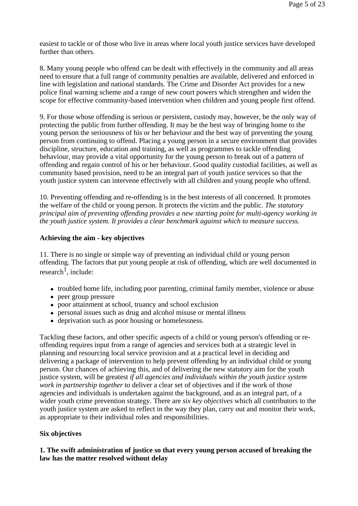easiest to tackle or of those who live in areas where local youth justice services have developed further than others.

8. Many young people who offend can be dealt with effectively in the community and all areas need to ensure that a full range of community penalties are available, delivered and enforced in line with legislation and national standards. The Crime and Disorder Act provides for a new police final warning scheme and a range of new court powers which strengthen and widen the scope for effective community-based intervention when children and young people first offend.

9. For those whose offending is serious or persistent, custody may, however, be the only way of protecting the public from further offending. It may be the best way of bringing home to the young person the seriousness of his or her behaviour and the best way of preventing the young person from continuing to offend. Placing a young person in a secure environment that provides discipline, structure, education and training, as well as programmes to tackle offending behaviour, may provide a vital opportunity for the young person to break out of a pattern of offending and regain control of his or her behaviour. Good quality custodial facilities, as well as community based provision, need to be an integral part of youth justice services so that the youth justice system can intervene effectively with all children and young people who offend.

10. Preventing offending and re-offending is in the best interests of all concerned. It promotes the welfare of the child or young person. It protects the victim and the public. *The statutory principal aim of preventing offending provides a new starting point for multi-agency working in the youth justice system. It provides a clear benchmark against which to measure success.* 

### **Achieving the aim - key objectives**

11. There is no single or simple way of preventing an individual child or young person offending. The factors that put young people at risk of offending, which are well documented in research<sup>1</sup>, include:

- troubled home life, including poor parenting, criminal family member, violence or abuse
- $\bullet$  peer group pressure
- poor attainment at school, truancy and school exclusion
- personal issues such as drug and alcohol misuse or mental illness
- deprivation such as poor housing or homelessness.

Tackling these factors, and other specific aspects of a child or young person's offending or reoffending requires input from a range of agencies and services both at a strategic level in planning and resourcing local service provision and at a practical level in deciding and delivering a package of intervention to help prevent offending by an individual child or young person. Our chances of achieving this, and of delivering the new statutory aim for the youth justice system, will be greatest *if all agencies and individuals within the youth justice system work in partnership together* to deliver a clear set of objectives and if the work of those agencies and individuals is undertaken against the background, and as an integral part, of a wider youth crime prevention strategy. There are *six key objectives* which all contributors to the youth justice system are asked to reflect in the way they plan, carry out and monitor their work, as appropriate to their individual roles and responsibilities.

### **Six objectives**

### **1. The swift administration of justice so that every young person accused of breaking the law has the matter resolved without delay**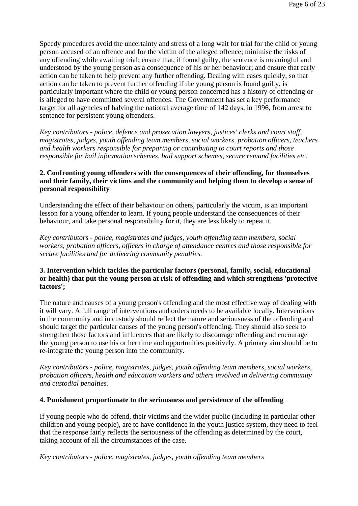Speedy procedures avoid the uncertainty and stress of a long wait for trial for the child or young person accused of an offence and for the victim of the alleged offence; minimise the risks of any offending while awaiting trial; ensure that, if found guilty, the sentence is meaningful and understood by the young person as a consequence of his or her behaviour; and ensure that early action can be taken to help prevent any further offending. Dealing with cases quickly, so that action can be taken to prevent further offending if the young person is found guilty, is particularly important where the child or young person concerned has a history of offending or is alleged to have committed several offences. The Government has set a key performance target for all agencies of halving the national average time of 142 days, in 1996, from arrest to sentence for persistent young offenders.

*Key contributors - police, defence and prosecution lawyers, justices' clerks and court staff, magistrates, judges, youth offending team members, social workers, probation officers, teachers and health workers responsible for preparing or contributing to court reports and those responsible for bail information schemes, bail support schemes, secure remand facilities etc.* 

### **2. Confronting young offenders with the consequences of their offending, for themselves and their family, their victims and the community and helping them to develop a sense of personal responsibility**

Understanding the effect of their behaviour on others, particularly the victim, is an important lesson for a young offender to learn. If young people understand the consequences of their behaviour, and take personal responsibility for it, they are less likely to repeat it.

*Key contributors - police, magistrates and judges, youth offending team members, social workers, probation officers, officers in charge of attendance centres and those responsible for secure facilities and for delivering community penalties.* 

### **3. Intervention which tackles the particular factors (personal, family, social, educational or health) that put the young person at risk of offending and which strengthens 'protective factors';**

The nature and causes of a young person's offending and the most effective way of dealing with it will vary. A full range of interventions and orders needs to be available locally. Interventions in the community and in custody should reflect the nature and seriousness of the offending and should target the particular causes of the young person's offending. They should also seek to strengthen those factors and influences that are likely to discourage offending and encourage the young person to use his or her time and opportunities positively. A primary aim should be to re-integrate the young person into the community.

*Key contributors - police, magistrates, judges, youth offending team members, social workers, probation officers, health and education workers and others involved in delivering community and custodial penalties.* 

### **4. Punishment proportionate to the seriousness and persistence of the offending**

If young people who do offend, their victims and the wider public (including in particular other children and young people), are to have confidence in the youth justice system, they need to feel that the response fairly reflects the seriousness of the offending as determined by the court, taking account of all the circumstances of the case.

*Key contributors - police, magistrates, judges, youth offending team members*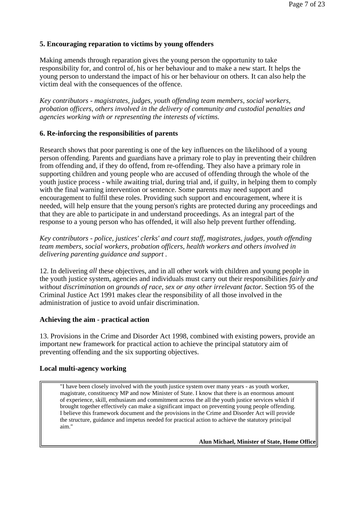### **5. Encouraging reparation to victims by young offenders**

Making amends through reparation gives the young person the opportunity to take responsibility for, and control of, his or her behaviour and to make a new start. It helps the young person to understand the impact of his or her behaviour on others. It can also help the victim deal with the consequences of the offence.

*Key contributors - magistrates, judges, youth offending team members, social workers, probation officers, others involved in the delivery of community and custodial penalties and agencies working with or representing the interests of victims.* 

### **6. Re-inforcing the responsibilities of parents**

Research shows that poor parenting is one of the key influences on the likelihood of a young person offending. Parents and guardians have a primary role to play in preventing their children from offending and, if they do offend, from re-offending. They also have a primary role in supporting children and young people who are accused of offending through the whole of the youth justice process - while awaiting trial, during trial and, if guilty, in helping them to comply with the final warning intervention or sentence. Some parents may need support and encouragement to fulfil these roles. Providing such support and encouragement, where it is needed, will help ensure that the young person's rights are protected during any proceedings and that they are able to participate in and understand proceedings. As an integral part of the response to a young person who has offended, it will also help prevent further offending.

*Key contributors - police, justices' clerks' and court staff, magistrates, judges, youth offending team members, social workers, probation officers, health workers and others involved in delivering parenting guidance and support .* 

12. In delivering *all* these objectives, and in all other work with children and young people in the youth justice system, agencies and individuals must carry out their responsibilities *fairly and without discrimination on grounds of race, sex or any other irrelevant factor.* Section 95 of the Criminal Justice Act 1991 makes clear the responsibility of all those involved in the administration of justice to avoid unfair discrimination.

### **Achieving the aim - practical action**

13. Provisions in the Crime and Disorder Act 1998, combined with existing powers, provide an important new framework for practical action to achieve the principal statutory aim of preventing offending and the six supporting objectives.

# **Local multi-agency working**

"I have been closely involved with the youth justice system over many years - as youth worker, magistrate, constituency MP and now Minister of State. I know that there is an enormous amount of experience, skill, enthusiasm and commitment across the all the youth justice services which if brought together effectively can make a significant impact on preventing young people offending. I believe this framework document and the provisions in the Crime and Disorder Act will provide the structure, guidance and impetus needed for practical action to achieve the statutory principal aim."

**Alun Michael, Minister of State, Home Office**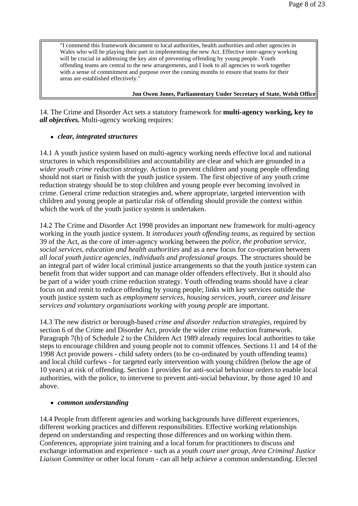"I commend this framework document to local authorities, health authorities and other agencies in Wales who will be playing their part in implementing the new Act. Effective inter-agency working will be crucial in addressing the key aim of preventing offending by young people. Youth offending teams are central to the new arrangements, and I look to all agencies to work together with a sense of commitment and purpose over the coming months to ensure that teams for their areas are established effectively."

#### **Jon Owen Jones, Parliamentary Under Secretary of State, Welsh Office**

14. The Crime and Disorder Act sets a statutory framework for **multi-agency working, key to**  *all objectives.* Multi-agency working requires:

### <sup>z</sup> *clear, integrated structures*

14.1 A youth justice system based on multi-agency working needs effective local and national structures in which responsibilities and accountability are clear and which are grounded in a *wider youth crime reduction strategy.* Action to prevent children and young people offending should not start or finish with the youth justice system. The first objective of any youth crime reduction strategy should be to stop children and young people ever becoming involved in crime. General crime reduction strategies and, where appropriate, targeted intervention with children and young people at particular risk of offending should provide the context within which the work of the youth justice system is undertaken.

14.2 The Crime and Disorder Act 1998 provides an important new framework for multi-agency working in the youth justice system. It *introduces youth offending teams,* as required by section 39 of the Act, as the core of inter-agency working between the *police, the probation service, social services, education and health authorities* and as a new focus for co-operation between *all local youth justice agencies, individuals and professional groups.* The structures should be an integral part of wider local criminal justice arrangements so that the youth justice system can benefit from that wider support and can manage older offenders effectively. But it should also be part of a wider youth crime reduction strategy. Youth offending teams should have a clear focus on and remit to reduce offending by young people; links with key services outside the youth justice system such as *employment services, housing services, youth, career and leisure services and voluntary organisations working with young people* are important.

14.3 The new district or borough-based *crime and disorder reduction strategies,* required by section 6 of the Crime and Disorder Act, provide the wider crime reduction framework. Paragraph 7(b) of Schedule 2 to the Children Act 1989 already requires local authorities to take steps to encourage children and young people not to commit offences. Sections 11 and 14 of the 1998 Act provide powers - child safety orders (to be co-ordinated by youth offending teams) and local child curfews - for targeted early intervention with young children (below the age of 10 years) at risk of offending. Section 1 provides for anti-social behaviour orders to enable local authorities, with the police, to intervene to prevent anti-social behaviour, by those aged 10 and above.

### <sup>z</sup> *common understanding*

14.4 People from different agencies and working backgrounds have different experiences, different working practices and different responsibilities. Effective working relationships depend on understanding and respecting those differences and on working within them. Conferences, appropriate joint training and a local forum for practitioners to discuss and exchange information and experience - such as a *youth court user group, Area Criminal Justice Liaison Committee* or other local forum - can all help achieve a common understanding. Elected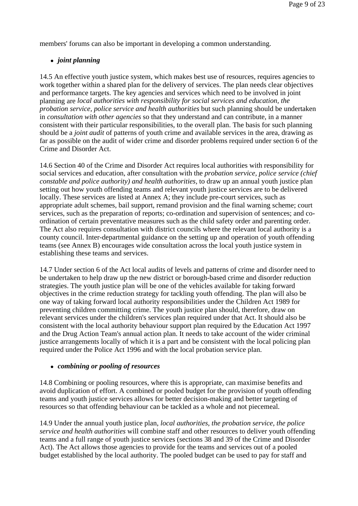members' forums can also be important in developing a common understanding.

### <sup>z</sup> *joint planning*

14.5 An effective youth justice system, which makes best use of resources, requires agencies to work together within a shared plan for the delivery of services. The plan needs clear objectives and performance targets. The key agencies and services which need to be involved in joint planning are *local authorities with responsibility for social services and education, the probation service, police service and health authorities* but such planning should be undertaken in *consultation with other agencies* so that they understand and can contribute, in a manner consistent with their particular responsibilities, to the overall plan. The basis for such planning should be a *joint audit* of patterns of youth crime and available services in the area, drawing as far as possible on the audit of wider crime and disorder problems required under section 6 of the Crime and Disorder Act.

14.6 Section 40 of the Crime and Disorder Act requires local authorities with responsibility for social services and education, after consultation with the *probation service, police service (chief constable and police authority) and health authorities,* to draw up an annual youth justice plan setting out how youth offending teams and relevant youth justice services are to be delivered locally. These services are listed at Annex A; they include pre-court services, such as appropriate adult schemes, bail support, remand provision and the final warning scheme; court services, such as the preparation of reports; co-ordination and supervision of sentences; and coordination of certain preventative measures such as the child safety order and parenting order. The Act also requires consultation with district councils where the relevant local authority is a county council. Inter-departmental guidance on the setting up and operation of youth offending teams (see Annex B) encourages wide consultation across the local youth justice system in establishing these teams and services.

14.7 Under section 6 of the Act local audits of levels and patterns of crime and disorder need to be undertaken to help draw up the new district or borough-based crime and disorder reduction strategies. The youth justice plan will be one of the vehicles available for taking forward objectives in the crime reduction strategy for tackling youth offending. The plan will also be one way of taking forward local authority responsibilities under the Children Act 1989 for preventing children committing crime. The youth justice plan should, therefore, draw on relevant services under the children's services plan required under that Act. It should also be consistent with the local authority behaviour support plan required by the Education Act 1997 and the Drug Action Team's annual action plan. It needs to take account of the wider criminal justice arrangements locally of which it is a part and be consistent with the local policing plan required under the Police Act 1996 and with the local probation service plan.

### <sup>z</sup> *combining or pooling of resources*

14.8 Combining or pooling resources, where this is appropriate, can maximise benefits and avoid duplication of effort. A combined or pooled budget for the provision of youth offending teams and youth justice services allows for better decision-making and better targeting of resources so that offending behaviour can be tackled as a whole and not piecemeal.

14.9 Under the annual youth justice plan, *local authorities, the probation service, the police service and health authorities* will combine staff and other resources to deliver youth offending teams and a full range of youth justice services (sections 38 and 39 of the Crime and Disorder Act). The Act allows those agencies to provide for the teams and services out of a pooled budget established by the local authority. The pooled budget can be used to pay for staff and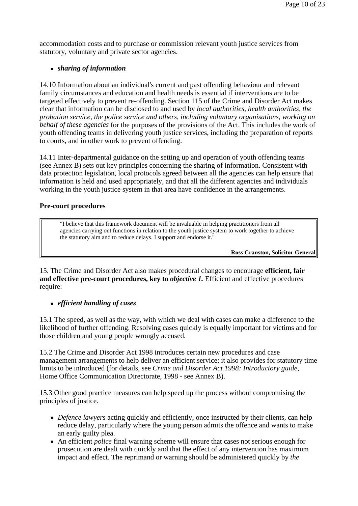accommodation costs and to purchase or commission relevant youth justice services from statutory, voluntary and private sector agencies.

### <sup>z</sup> *sharing of information*

14.10 Information about an individual's current and past offending behaviour and relevant family circumstances and education and health needs is essential if interventions are to be targeted effectively to prevent re-offending. Section 115 of the Crime and Disorder Act makes clear that information can be disclosed to and used by *local authorities, health authorities, the probation service, the police service and others, including voluntary organisations, working on behalf of these agencies* for the purposes of the provisions of the Act. This includes the work of youth offending teams in delivering youth justice services, including the preparation of reports to courts, and in other work to prevent offending.

14.11 Inter-departmental guidance on the setting up and operation of youth offending teams (see Annex B) sets out key principles concerning the sharing of information. Consistent with data protection legislation, local protocols agreed between all the agencies can help ensure that information is held and used appropriately, and that all the different agencies and individuals working in the youth justice system in that area have confidence in the arrangements.

### **Pre-court procedures**

"I believe that this framework document will be invaluable in helping practitioners from all agencies carrying out functions in relation to the youth justice system to work together to achieve the statutory aim and to reduce delays. I support and endorse it."

**Ross Cranston, Solicitor General** 

15. The Crime and Disorder Act also makes procedural changes to encourage **efficient, fair and effective pre-court procedures, key to** *objective 1.* Efficient and effective procedures require:

### <sup>z</sup> *efficient handling of cases*

15.1 The speed, as well as the way, with which we deal with cases can make a difference to the likelihood of further offending. Resolving cases quickly is equally important for victims and for those children and young people wrongly accused.

15.2 The Crime and Disorder Act 1998 introduces certain new procedures and case management arrangements to help deliver an efficient service; it also provides for statutory time limits to be introduced (for details, see *Crime and Disorder Act 1998: Introductory guide*, Home Office Communication Directorate, 1998 - see Annex B).

15.3 Other good practice measures can help speed up the process without compromising the principles of justice.

- *Defence lawyers* acting quickly and efficiently, once instructed by their clients, can help reduce delay, particularly where the young person admits the offence and wants to make an early guilty plea.
- An efficient *police* final warning scheme will ensure that cases not serious enough for prosecution are dealt with quickly and that the effect of any intervention has maximum impact and effect. The reprimand or warning should be administered quickly by *the*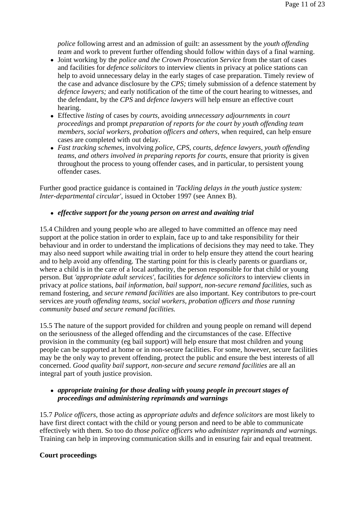*police* following arrest and an admission of guilt: an assessment by the *youth offending team* and work to prevent further offending should follow within days of a final warning.

- Joint working by the *police and the Crown Prosecution Service* from the start of cases and facilities for *defence solicitors* to interview clients in privacy at police stations can help to avoid unnecessary delay in the early stages of case preparation. Timely review of the case and advance disclosure by the *CPS;* timely submission of a defence statement by *defence lawyers;* and early notification of the time of the court hearing to witnesses, and the defendant, by the *CPS* and *defence lawyers* will help ensure an effective court hearing.
- Effective *listing* of cases by *courts*, avoiding *unnecessary adjournments* in *court proceedings* and prompt *preparation of reports for the court by youth offending team members, social workers, probation officers and others*, when required, can help ensure cases are completed with out delay.
- Fast tracking schemes, involving *police, CPS, courts, defence lawyers, youth offending teams, and others involved in preparing reports for courts, ensure that priority is given* throughout the process to young offender cases, and in particular, to persistent young offender cases.

Further good practice guidance is contained in *'Tackling delays in the youth justice system: Inter-departmental circular',* issued in October 1997 (see Annex B).

### • *effective support for the young person on arrest and awaiting trial*

15.4 Children and young people who are alleged to have committed an offence may need support at the police station in order to explain, face up to and take responsibility for their behaviour and in order to understand the implications of decisions they may need to take. They may also need support while awaiting trial in order to help ensure they attend the court hearing and to help avoid any offending. The starting point for this is clearly parents or guardians or, where a child is in the care of a local authority, the person responsible for that child or young person. But *'appropriate adult services',* facilities for *defence solicitors* to interview clients in privacy at *police* stations, *bail information, bail support, non-secure remand facilities*, such as remand fostering, and *secure remand facilities* are also important. Key contributors to pre-court services are *youth offending teams, social workers, probation officers and those running community based and secure remand facilities.* 

15.5 The nature of the support provided for children and young people on remand will depend on the seriousness of the alleged offending and the circumstances of the case. Effective provision in the community (eg bail support) will help ensure that most children and young people can be supported at home or in non-secure facilities. For some, however, secure facilities may be the only way to prevent offending, protect the public and ensure the best interests of all concerned. *Good quality bail support, non-secure and secure remand facilities* are all an integral part of youth justice provision.

### • *appropriate training for those dealing with young people in precourt stages of proceedings and administering reprimands and warnings*

15.7 *Police officers,* those acting as *appropriate adults* and *defence solicitors* are most likely to have first direct contact with the child or young person and need to be able to communicate effectively with them. So too do *those police officers who administer reprimands and warnings.*  Training can help in improving communication skills and in ensuring fair and equal treatment.

# **Court proceedings**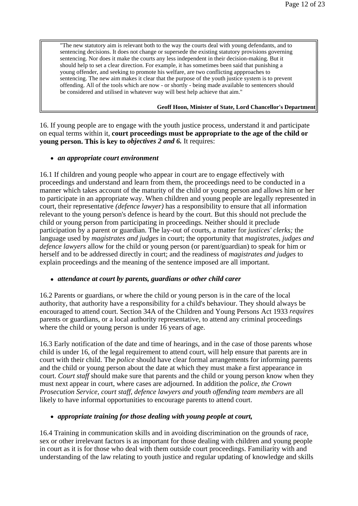"The new statutory aim is relevant both to the way the courts deal with young defendants, and to sentencing decisions. It does not change or supersede the existing statutory provisions governing sentencing. Nor does it make the courts any less independent in their decision-making. But it should help to set a clear direction. For example, it has sometimes been said that punishing a young offender, and seeking to promote his welfare, are two conflicting appproaches to sentencing. The new aim makes it clear that the purpose of the youth justice system is to prevent offending. All of the tools which are now - or shortly - being made available to sentencers should be considered and utilised in whatever way will best help achieve that aim."

#### **Geoff Hoon, Minister of State, Lord Chancellor's Department**

16. If young people are to engage with the youth justice process, understand it and participate on equal terms within it, **court proceedings must be appropriate to the age of the child or young person. This is key to** *objectives 2 and 6.* It requires:

### • *an appropriate court environment*

16.1 If children and young people who appear in court are to engage effectively with proceedings and understand and learn from them, the proceedings need to be conducted in a manner which takes account of the maturity of the child or young person and allows him or her to participate in an appropriate way. When children and young people are legally represented in court, their representative *(defence lawyer)* has a responsibility to ensure that all information relevant to the young person's defence is heard by the court. But this should not preclude the child or young person from participating in proceedings. Neither should it preclude participation by a parent or guardian. The lay-out of courts, a matter for *justices' clerks;* the language used by *magistrates and judges* in court; the opportunity that *magistrates, judges and defence lawyers* allow for the child or young person (or parent/guardian) to speak for him or herself and to be addressed directly in court; and the readiness of *magistrates and judges* to explain proceedings and the meaning of the sentence imposed are all important.

### • *attendance at court by parents, guardians or other child carer*

16.2 Parents or guardians, or where the child or young person is in the care of the local authority, that authority have a responsibility for a child's behaviour. They should always be encouraged to attend court. Section 34A of the Children and Young Persons Act 1933 *requires*  parents or guardians, or a local authority representative, to attend any criminal proceedings where the child or young person is under 16 years of age.

16.3 Early notification of the date and time of hearings, and in the case of those parents whose child is under 16, of the legal requirement to attend court, will help ensure that parents are in court with their child. The *police* should have clear formal arrangements for informing parents and the child or young person about the date at which they must make a first appearance in court. *Court staff* should make sure that parents and the child or young person know when they must next appear in court, where cases are adjourned. In addition the *police, the Crown Prosecution Service, court staff, defence lawyers and youth offending team members are all* likely to have informal opportunities to encourage parents to attend court.

### • *appropriate training for those dealing with young people at court,*

16.4 Training in communication skills and in avoiding discrimination on the grounds of race, sex or other irrelevant factors is as important for those dealing with children and young people in court as it is for those who deal with them outside court proceedings. Familiarity with and understanding of the law relating to youth justice and regular updating of knowledge and skills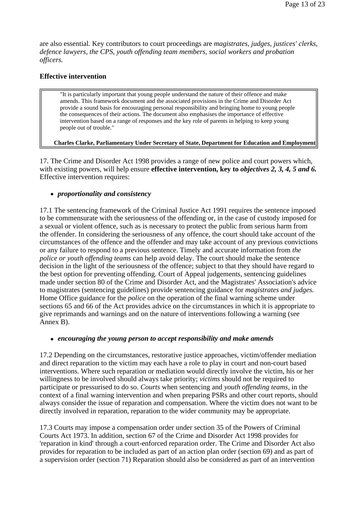are also essential. Key contributors to court proceedings are *magistrates, judges, justices' clerks, defence lawyers, the CPS, youth offending team members, social workers and probation officers.* 

### **Effective intervention**

"It is particularly important that young people understand the nature of their offence and make amends. This framework document and the associated provisions in the Crime and Disorder Act provide a sound basis for encouraging personal responsibility and bringing home to young people the consequences of their actions. The document also emphasises the importance of effective intervention based on a range of responses and the key role of parents in helping to keep young people out of trouble."

#### **Charles Clarke, Parliamentary Under Secretary of State, Department for Education and Employment**

17. The Crime and Disorder Act 1998 provides a range of new police and court powers which, with existing powers, will help ensure **effective intervention, key to** *objectives 2, 3, 4, 5 and 6.*  Effective intervention requires:

### <sup>z</sup> *proportionality and consistency*

17.1 The sentencing framework of the Criminal Justice Act 1991 requires the sentence imposed to be commensurate with the seriousness of the offending or, in the case of custody imposed for a sexual or violent offence, such as is necessary to protect the public from serious harm from the offender. In considering the seriousness of any offence, the court should take account of the circumstances of the offence and the offender and may take account of any previous convictions or any failure to respond to a previous sentence. Timely and accurate information from *the police or youth offending teams* can help avoid delay. The court should make the sentence decision in the light of the seriousness of the offence; subject to that they should have regard to the best option for preventing offending. Court of Appeal judgements, sentencing guidelines made under section 80 of the Crime and Disorder Act, and the Magistrates' Association's advice to magistrates (sentencing guidelines) provide sentencing guidance for *magistrates and judges.*  Home Office guidance for the *police* on the operation of the final warning scheme under sections 65 and 66 of the Act provides advice on the circumstances in which it is appropriate to give reprimands and warnings and on the nature of interventions following a warning (see Annex B).

### • *encouraging the young person to accept responsibility and make amends*

17.2 Depending on the circumstances, restorative justice approaches, victim/offender mediation and direct reparation to the victim may each have a role to play in court and non-court based interventions. Where such reparation or mediation would directly involve the victim, his or her willingness to be involved should always take priority; *victims* should not be required to participate or pressurised to do so. *Courts* when sentencing and *youth offending teams,* in the context of a final warning intervention and when preparing PSRs and other court reports, should always consider the issue of reparation and compensation. Where the victim does not want to be directly involved in reparation, reparation to the wider community may be appropriate.

17.3 Courts may impose a compensation order under section 35 of the Powers of Criminal Courts Act 1973. In addition, section 67 of the Crime and Disorder Act 1998 provides for 'reparation in kind' through a court-enforced reparation order. The Crime and Disorder Act also provides for reparation to be included as part of an action plan order (section 69) and as part of a supervision order (section 71) Reparation should also be considered as part of an intervention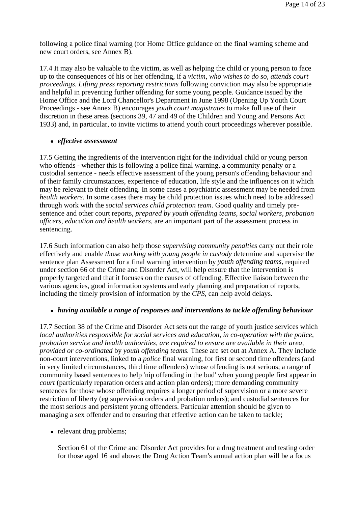following a police final warning (for Home Office guidance on the final warning scheme and new court orders, see Annex B).

17.4 It may also be valuable to the victim, as well as helping the child or young person to face up to the consequences of his or her offending, if a *victim, who wishes to do so, attends court proceedings. Lifting press reporting restrictions* following conviction may also be appropriate and helpful in preventing further offending for some young people. Guidance issued by the Home Office and the Lord Chancellor's Department in June 1998 (Opening Up Youth Court Proceedings - see Annex B) encourages *youth court magistrates* to make full use of their discretion in these areas (sections 39, 47 and 49 of the Children and Young and Persons Act 1933) and, in particular, to invite victims to attend youth court proceedings wherever possible.

#### <sup>z</sup> *effective assessment*

17.5 Getting the ingredients of the intervention right for the individual child or young person who offends - whether this is following a police final warning, a community penalty or a custodial sentence - needs effective assessment of the young person's offending behaviour and of their family circumstances, experience of education, life style and the influences on it which may be relevant to their offending. In some cases a psychiatric assessment may be needed from *health workers.* In some cases there may be child protection issues which need to be addressed through work with the *social services child protection team*. Good quality and timely presentence and other court reports, *prepared by youth offending teams, social workers, probation officers, education and health workers,* are an important part of the assessment process in sentencing.

17.6 Such information can also help those *supervising community penalties* carry out their role effectively and enable *those working with young people in custody* determine and supervise the sentence plan Assessment for a final warning intervention by *youth offending teams,* required under section 66 of the Crime and Disorder Act, will help ensure that the intervention is properly targeted and that it focuses on the causes of offending. Effective liaison between the various agencies, good information systems and early planning and preparation of reports, including the timely provision of information by the *CPS,* can help avoid delays.

### • *having available a range of responses and interventions to tackle offending behaviour*

17.7 Section 38 of the Crime and Disorder Act sets out the range of youth justice services which *local authorities responsible for social services and education, in co-operation with the police, probation service and health authorities, are required to ensure are available in their area, provided or co-ordinated* by *youth offending teams.* These are set out at Annex A. They include non-court interventions, linked to a *police* final warning, for first or second time offenders (and in very limited circumstances, third time offenders) whose offending is not serious; a range of community based sentences to help 'nip offending in the bud' when young people first appear in *court* (particularly reparation orders and action plan orders); more demanding community sentences for those whose offending requires a longer period of supervision or a more severe restriction of liberty (eg supervision orders and probation orders); and custodial sentences for the most serious and persistent young offenders. Particular attention should be given to managing a sex offender and to ensuring that effective action can be taken to tackle;

• relevant drug problems:

Section 61 of the Crime and Disorder Act provides for a drug treatment and testing order for those aged 16 and above; the Drug Action Team's annual action plan will be a focus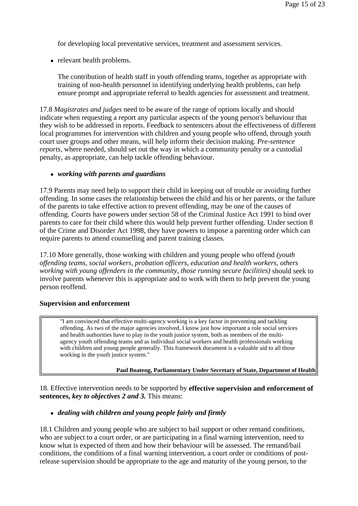for developing local preventative services, treatment and assessment services.

• relevant health problems.

The contribution of health staff in youth offending teams, together as appropriate with training of non-health personnel in identifying underlying health problems, can help ensure prompt and appropriate referral to health agencies for assessment and treatment.

17.8 *Magistrates and judges* need to be aware of the range of options locally and should indicate when requesting a report any particular aspects of the young person's behaviour that they wish to be addressed in reports. Feedback to sentencers about the effectiveness of different local programmes for intervention with children and young people who offend, through youth court user groups and other means, will help inform their decision making. *Pre-sentence reports*, where needed, should set out the way in which a community penalty or a custodial penalty, as appropriate, can help tackle offending behaviour.

### <sup>z</sup> *working with parents and guardians*

17.9 Parents may need help to support their child in keeping out of trouble or avoiding further offending. In some cases the relationship between the child and his or her parents, or the failure of the parents to take effective action to prevent offending, may be one of the causes of offending. *Courts* have powers under section 58 of the Criminal Justice Act 1991 to bind over parents to care for their child where this would help prevent further offending. Under section 8 of the Crime and Disorder Act 1998, they have powers to impose a parenting order which can require parents to attend counselling and parent training classes.

17.10 More generally, those working with children and young people who offend *(youth offending teams, social workers, probation officers, education and health workers, others working with young offenders in the community, those running secure facilities)* should seek to involve parents whenever this is appropriate and to work with them to help prevent the young person reoffend.

### **Supervision and enforcement**

"I am convinced that effective multi-agency working is a key factor in preventing and tackling offending. As two of the major agencies involved, I know just how important a role social services and health authorities have to play in the youth justice system, both as members of the multiagency youth offending teams and as individual social workers and health professionals working with children and young people generally. This framework document is a valuable aid to all those working in the youth justice system."

**Paul Boateng, Parliamentary Under Secretary of State, Department of Health** 

18. Effective intervention needs to be supported by **effective supervision and enforcement of sentences,** *key to objectives 2 and 3.* This means:

# • *dealing with children and young people fairly and firmly*

18.1 Children and young people who are subject to bail support or other remand conditions, who are subject to a court order, or are participating in a final warning intervention, need to know what is expected of them and how their behaviour will be assessed. The remand/bail conditions, the conditions of a final warning intervention, a court order or conditions of postrelease supervision should be appropriate to the age and maturity of the young person, to the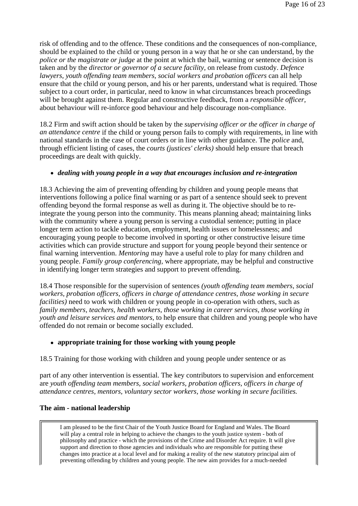risk of offending and to the offence. These conditions and the consequences of non-compliance, should be explained to the child or young person in a way that he or she can understand, by the *police or the magistrate or judge* at the point at which the bail, warning or sentence decision is taken and by the *director or governor of a secure facility,* on release from custody. *Defence lawyers, youth offending team members, social workers and probation officers can all help* ensure that the child or young person, and his or her parents, understand what is required. Those subject to a court order, in particular, need to know in what circumstances breach proceedings will be brought against them. Regular and constructive feedback, from a *responsible officer,*  about behaviour will re-inforce good behaviour and help discourage non-compliance.

18.2 Firm and swift action should be taken by the *supervising officer or the officer in charge of an attendance centre* if the child or young person fails to comply with requirements, in line with national standards in the case of court orders or in line with other guidance. The *police* and, through efficient listing of cases, the *courts (justices' clerks)* should help ensure that breach proceedings are dealt with quickly.

### • *dealing with young people in a way that encourages inclusion and re-integration*

18.3 Achieving the aim of preventing offending by children and young people means that interventions following a police final warning or as part of a sentence should seek to prevent offending beyond the formal response as well as during it. The objective should be to reintegrate the young person into the community. This means planning ahead; maintaining links with the community where a young person is serving a custodial sentence; putting in place longer term action to tackle education, employment, health issues or homelessness; and encouraging young people to become involved in sporting or other constructive leisure time activities which can provide structure and support for young people beyond their sentence or final warning intervention. *Mentoring* may have a useful role to play for many children and young people. *Family group conferencing,* where appropriate, may be helpful and constructive in identifying longer term strategies and support to prevent offending.

18.4 Those responsible for the supervision of sentences *(youth offending team members, social workers, probation officers, officers in charge of attendance centres, those working in secure facilities*) need to work with children or young people in co-operation with others, such as *family members, teachers, health workers, those working in career services, those working in youth and leisure services and mentors,* to help ensure that children and young people who have offended do not remain or become socially excluded.

### • appropriate training for those working with young people

18.5 Training for those working with children and young people under sentence or as

part of any other intervention is essential. The key contributors to supervision and enforcement are *youth offending team members, social workers, probation officers, officers in charge of attendance centres, mentors, voluntary sector workers, those working in secure facilities.* 

### **The aim - national leadership**

I am pleased to be the first Chair of the Youth Justice Board for England and Wales. The Board will play a central role in helping to achieve the changes to the youth justice system - both of philosophy and practice - which the provisions of the Crime and Disorder Act require. It will give support and direction to those agencies and individuals who are responsible for putting these changes into practice at a local level and for making a reality of the new statutory principal aim of preventing offending by children and young people. The new aim provides for a much-needed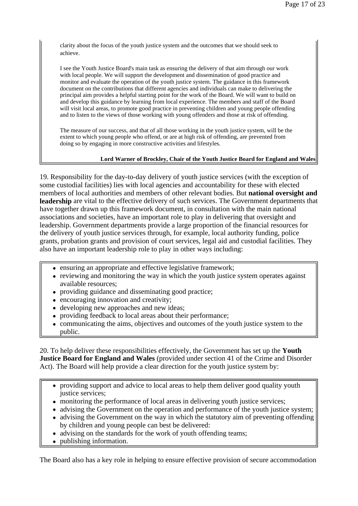clarity about the focus of the youth justice system and the outcomes that we should seek to achieve.

I see the Youth Justice Board's main task as ensuring the delivery of that aim through our work with local people. We will support the development and dissemination of good practice and monitor and evaluate the operation of the youth justice system. The guidance in this framework document on the contributions that different agencies and individuals can make to delivering the principal aim provides a helpful starting point for the work of the Board. We will want to build on and develop this guidance by learning from local experience. The members and staff of the Board will visit local areas, to promote good practice in preventing children and young people offending and to listen to the views of those working with young offenders and those at risk of offending.

The measure of our success, and that of all those working in the youth justice system, will be the extent to which young people who offend, or are at high risk of offending, are prevented from doing so by engaging in more constructive activities and lifestyles.

#### **Lord Warner of Brockley, Chair of the Youth Justice Board for England and Wales**

19. Responsibility for the day-to-day delivery of youth justice services (with the exception of some custodial facilities) lies with local agencies and accountability for these with elected members of local authorities and members of other relevant bodies. But **national oversight and leadership** are vital to the effective delivery of such services. The Government departments that have together drawn up this framework document, in consultation with the main national associations and societies, have an important role to play in delivering that oversight and leadership. Government departments provide a large proportion of the financial resources for the delivery of youth justice services through, for example, local authority funding, police grants, probation grants and provision of court services, legal aid and custodial facilities. They also have an important leadership role to play in other ways including:

- ensuring an appropriate and effective legislative framework;
- $\bullet$  reviewing and monitoring the way in which the youth justice system operates against available resources;
- providing guidance and disseminating good practice;
- $\bullet$  encouraging innovation and creativity;
- developing new approaches and new ideas;
- providing feedback to local areas about their performance;
- communicating the aims, objectives and outcomes of the youth justice system to the public.

20. To help deliver these responsibilities effectively, the Government has set up the **Youth Justice Board for England and Wales** (provided under section 41 of the Crime and Disorder Act). The Board will help provide a clear direction for the youth justice system by:

- providing support and advice to local areas to help them deliver good quality youth justice services;
- monitoring the performance of local areas in delivering youth justice services;
- advising the Government on the operation and performance of the youth justice system;
- $\bullet$  advising the Government on the way in which the statutory aim of preventing offending by children and young people can best be delivered:
- advising on the standards for the work of youth offending teams;
- publishing information.

The Board also has a key role in helping to ensure effective provision of secure accommodation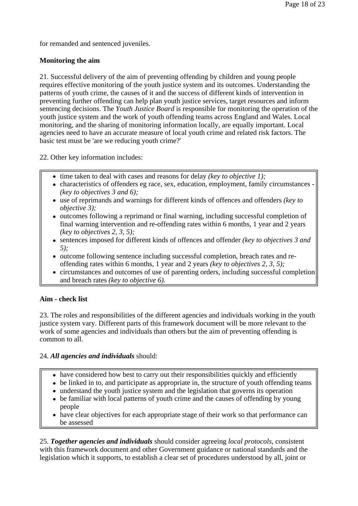for remanded and sentenced juveniles.

### **Monitoring the aim**

21. Successful delivery of the aim of preventing offending by children and young people requires effective monitoring of the youth justice system and its outcomes. Understanding the patterns of youth crime, the causes of it and the success of different kinds of intervention in preventing further offending can help plan youth justice services, target resources and inform sentencing decisions. The *Youth Justice Board* is responsible for monitoring the operation of the youth justice system and the work of youth offending teams across England and Wales. Local monitoring, and the sharing of monitoring information locally, are equally important. Local agencies need to have an accurate measure of local youth crime and related risk factors. The basic test must be 'are we reducing youth crime?'

22. Other key information includes:

- $\bullet$  time taken to deal with cases and reasons for delay *(key to objective 1)*;
- characteristics of offenders eg race, sex, education, employment, family circumstances -*(key to objectives 3 and 6);*
- use of reprimands and warnings for different kinds of offences and offenders *(key to*) *objective 3);*
- outcomes following a reprimand or final warning, including successful completion of final warning intervention and re-offending rates within 6 months, 1 year and 2 years *(key to objectives 2, 3, 5);*
- sentences imposed for different kinds of offences and offender *(key to objectives 3 and*) *5);*
- outcome following sentence including successful completion, breach rates and reoffending rates within 6 months, 1 year and 2 years *(key to objectives 2, 3, 5);*
- circumstances and outcomes of use of parenting orders, including successful completion and breach rates *(key to objective 6).*

# **Aim - check list**

23. The roles and responsibilities of the different agencies and individuals working in the youth justice system vary. Different parts of this framework document will be more relevant to the work of some agencies and individuals than others but the aim of preventing offending is common to all.

# 24. *All agencies and individuals* should:

- $\bullet$  have considered how best to carry out their responsibilities quickly and efficiently
- $\bullet$  be linked in to, and participate as appropriate in, the structure of youth offending teams
- understand the youth justice system and the legislation that governs its operation
- be familiar with local patterns of youth crime and the causes of offending by young people
- have clear objectives for each appropriate stage of their work so that performance can be assessed

25. *Together agencies and individuals* should consider agreeing *local protocols,* consistent with this framework document and other Government guidance or national standards and the legislation which it supports, to establish a clear set of procedures understood by all, joint or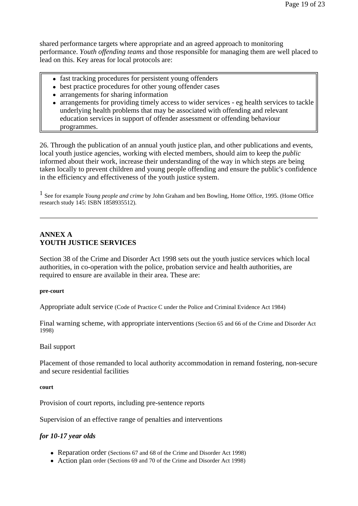shared performance targets where appropriate and an agreed approach to monitoring performance. *Youth offending teams* and those responsible for managing them are well placed to lead on this. Key areas for local protocols are:

- fast tracking procedures for persistent young offenders
- best practice procedures for other young offender cases
- arrangements for sharing information
- arrangements for providing timely access to wider services eg health services to tackle underlying health problems that may be associated with offending and relevant education services in support of offender assessment or offending behaviour programmes.

26. Through the publication of an annual youth justice plan, and other publications and events, local youth justice agencies, working with elected members, should aim to keep the *public*  informed about their work, increase their understanding of the way in which steps are being taken locally to prevent children and young people offending and ensure the public's confidence in the efficiency and effectiveness of the youth justice system.

1 See for example *Young people and crime* by John Graham and ben Bowling, Home Office, 1995. (Home Office research study 145: ISBN 1858935512).

# **ANNEX A YOUTH JUSTICE SERVICES**

Section 38 of the Crime and Disorder Act 1998 sets out the youth justice services which local authorities, in co-operation with the police, probation service and health authorities, are required to ensure are available in their area. These are:

#### **pre-court**

Appropriate adult service (Code of Practice C under the Police and Criminal Evidence Act 1984)

Final warning scheme, with appropriate interventions (Section 65 and 66 of the Crime and Disorder Act 1998)

Bail support

Placement of those remanded to local authority accommodation in remand fostering, non-secure and secure residential facilities

**court** 

Provision of court reports, including pre-sentence reports

Supervision of an effective range of penalties and interventions

### *for 10-17 year olds*

- Reparation order (Sections 67 and 68 of the Crime and Disorder Act 1998)
- Action plan order (Sections 69 and 70 of the Crime and Disorder Act 1998)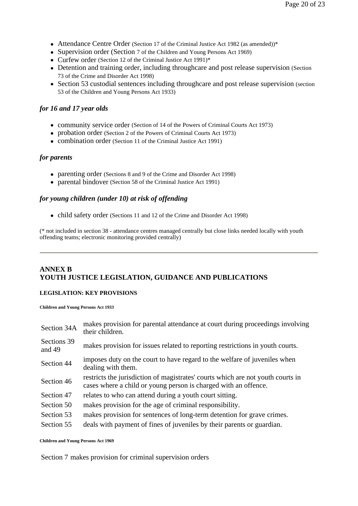- Attendance Centre Order (Section 17 of the Criminal Justice Act 1982 (as amended))\*
- Supervision order (Section 7 of the Children and Young Persons Act 1969)
- Curfew order (Section 12 of the Criminal Justice Act 1991)\*
- Detention and training order, including throughcare and post release supervision (Section 73 of the Crime and Disorder Act 1998)
- Section 53 custodial sentences including throughcare and post release supervision (section 53 of the Children and Young Persons Act 1933)

#### *for 16 and 17 year olds*

- community service order (Section of 14 of the Powers of Criminal Courts Act 1973)
- probation order (Section 2 of the Powers of Criminal Courts Act 1973)
- combination order (Section 11 of the Criminal Justice Act 1991)

#### *for parents*

- parenting order (Sections 8 and 9 of the Crime and Disorder Act 1998)
- parental bindover (Section 58 of the Criminal Justice Act 1991)

### *for young children (under 10) at risk of offending*

• child safety order (Sections 11 and 12 of the Crime and Disorder Act 1998)

(\* not included in section 38 - attendance centres managed centrally but close links needed locally with youth offending teams; electronic monitoring provided centrally)

### **ANNEX B YOUTH JUSTICE LEGISLATION, GUIDANCE AND PUBLICATIONS**

#### **LEGISLATION: KEY PROVISIONS**

**Children and Young Persons Act 1933** 

| Section 34A           | makes provision for parental attendance at court during proceedings involving<br>their children.                                                   |
|-----------------------|----------------------------------------------------------------------------------------------------------------------------------------------------|
| Sections 39<br>and 49 | makes provision for issues related to reporting restrictions in youth courts.                                                                      |
| Section 44            | imposes duty on the court to have regard to the welfare of juveniles when<br>dealing with them.                                                    |
| Section 46            | restricts the jurisdiction of magistrates' courts which are not youth courts in<br>cases where a child or young person is charged with an offence. |
| Section 47            | relates to who can attend during a youth court sitting.                                                                                            |
| Section 50            | makes provision for the age of criminal responsibility.                                                                                            |
| Section 53            | makes provision for sentences of long-term detention for grave crimes.                                                                             |
| Section 55            | deals with payment of fines of juveniles by their parents or guardian.                                                                             |
|                       |                                                                                                                                                    |

**Children and Young Persons Act 1969** 

Section 7 makes provision for criminal supervision orders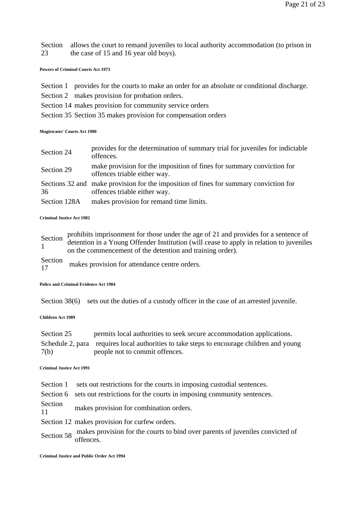Section allows the court to remand juveniles to local authority accommodation (to prison in 23 the case of 15 and 16 year old boys).

**Powers of Criminal Courts Act 1973** 

- Section 1 provides for the courts to make an order for an absolute or conditional discharge.
- Section 2 makes provision for probation orders.
- Section 14 makes provision for community service orders
- Section 35 Section 35 makes provision for compensation orders

#### **Magistrates' Courts Act 1980**

| Section 24   | provides for the determination of summary trial for juveniles for indictable<br>offences.                             |
|--------------|-----------------------------------------------------------------------------------------------------------------------|
| Section 29   | make provision for the imposition of fines for summary conviction for<br>offences triable either way.                 |
| 36           | Sections 32 and make provision for the imposition of fines for summary conviction for<br>offences triable either way. |
| Section 128A | makes provision for remand time limits.                                                                               |

#### **Criminal Justice Act 1982**

Section prohibits imprisonment for those under the age of 21 and provides for a sentence of  $\frac{1}{1}$  detention in a Young Offender Institution (will cease to apply in relation to juveniles on the commencement of the detention and training order).

Section nakes provision for attendance centre orders.

#### **Police and Criminal Evidence Act 1984**

Section 38(6) sets out the duties of a custody officer in the case of an arrested juvenile.

**Children Act 1989** 

| Section 25 | permits local authorities to seek secure accommodation applications.                                                        |
|------------|-----------------------------------------------------------------------------------------------------------------------------|
| 7(b)       | Schedule 2, para requires local authorities to take steps to encourage children and young<br>people not to commit offences. |
|            |                                                                                                                             |

#### **Criminal Justice Act 1991**

Section 6 sets out restrictions for the courts in imposing community sentences.

Section  $11$  makes provision for combination orders.

Section 12 makes provision for curfew orders.

Section 58 makes provision for the courts to bind over parents of juveniles convicted of offences.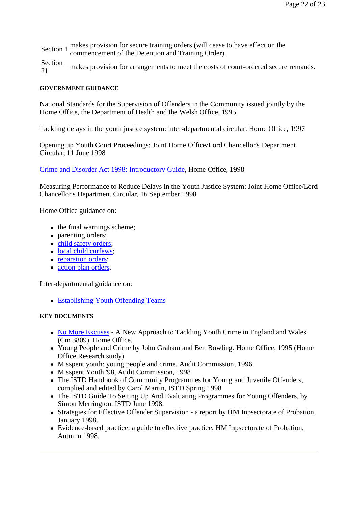Section 1 makes provision for secure training orders (will cease to have effect on the commencement of the Detention and Training Order).

21 Section makes provision for arrangements to meet the costs of court-ordered secure remands.

#### **GOVERNMENT GUIDANCE**

National Standards for the Supervision of Offenders in the Community issued jointly by the Home Office, the Department of Health and the Welsh Office, 1995

Tackling delays in the youth justice system: inter-departmental circular. Home Office, 1997

Opening up Youth Court Proceedings: Joint Home Office/Lord Chancellor's Department Circular, 11 June 1998

Crime and Disorder Act 1998: Introductory Guide, Home Office, 1998

Measuring Performance to Reduce Delays in the Youth Justice System: Joint Home Office/Lord Chancellor's Department Circular, 16 September 1998

Home Office guidance on:

- $\bullet$  the final warnings scheme;
- parenting orders;
- child safety orders;
- local child curfews;
- reparation orders;
- action plan orders.

Inter-departmental guidance on:

• Establishing Youth Offending Teams

#### **KEY DOCUMENTS**

- No More Excuses A New Approach to Tackling Youth Crime in England and Wales (Cm 3809). Home Office.
- Young People and Crime by John Graham and Ben Bowling. Home Office, 1995 (Home Office Research study)
- Misspent youth: young people and crime. Audit Commission, 1996
- Misspent Youth '98, Audit Commission, 1998
- The ISTD Handbook of Community Programmes for Young and Juvenile Offenders, complied and edited by Carol Martin, ISTD Spring 1998
- The ISTD Guide To Setting Up And Evaluating Programmes for Young Offenders, by Simon Merrington, ISTD June 1998.
- Strategies for Effective Offender Supervision a report by HM Inpsectorate of Probation, January 1998.
- Evidence-based practice; a guide to effective practice, HM Inpsectorate of Probation, Autumn 1998.